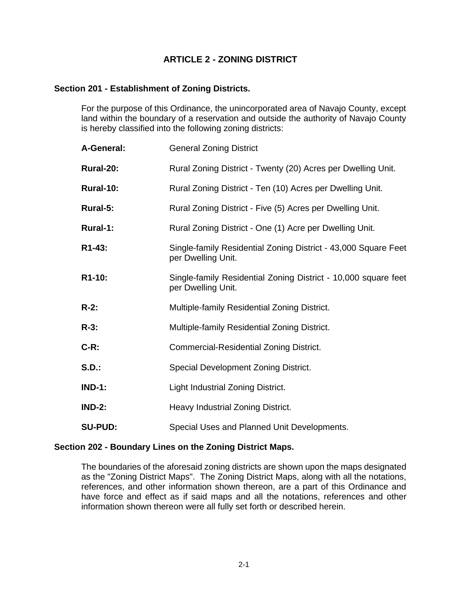# **ARTICLE 2 - ZONING DISTRICT**

# **Section 201 - Establishment of Zoning Districts.**

For the purpose of this Ordinance, the unincorporated area of Navajo County, except land within the boundary of a reservation and outside the authority of Navajo County is hereby classified into the following zoning districts:

| A-General:     | <b>General Zoning District</b>                                                       |
|----------------|--------------------------------------------------------------------------------------|
| Rural-20:      | Rural Zoning District - Twenty (20) Acres per Dwelling Unit.                         |
| Rural-10:      | Rural Zoning District - Ten (10) Acres per Dwelling Unit.                            |
| Rural-5:       | Rural Zoning District - Five (5) Acres per Dwelling Unit.                            |
| Rural-1:       | Rural Zoning District - One (1) Acre per Dwelling Unit.                              |
| R1-43:         | Single-family Residential Zoning District - 43,000 Square Feet<br>per Dwelling Unit. |
| R1-10:         | Single-family Residential Zoning District - 10,000 square feet<br>per Dwelling Unit. |
| $R-2:$         | Multiple-family Residential Zoning District.                                         |
| $R-3$ :        | Multiple-family Residential Zoning District.                                         |
| $C-R$ :        | Commercial-Residential Zoning District.                                              |
| <b>S.D.:</b>   | Special Development Zoning District.                                                 |
| <b>IND-1:</b>  | Light Industrial Zoning District.                                                    |
| <b>IND-2:</b>  | Heavy Industrial Zoning District.                                                    |
| <b>SU-PUD:</b> | Special Uses and Planned Unit Developments.                                          |

## **Section 202 - Boundary Lines on the Zoning District Maps.**

The boundaries of the aforesaid zoning districts are shown upon the maps designated as the "Zoning District Maps". The Zoning District Maps, along with all the notations, references, and other information shown thereon, are a part of this Ordinance and have force and effect as if said maps and all the notations, references and other information shown thereon were all fully set forth or described herein.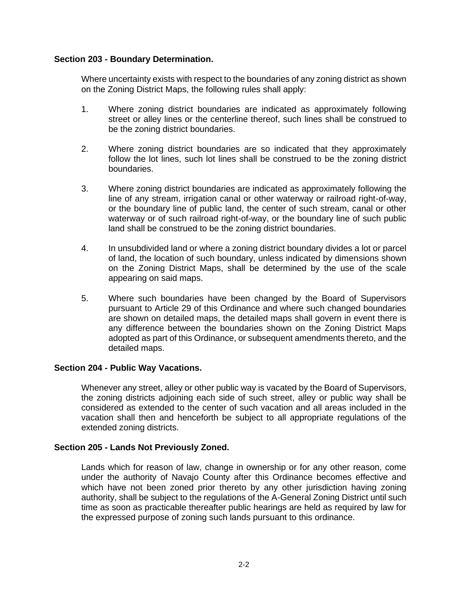# **Section 203 - Boundary Determination.**

Where uncertainty exists with respect to the boundaries of any zoning district as shown on the Zoning District Maps, the following rules shall apply:

- 1. Where zoning district boundaries are indicated as approximately following street or alley lines or the centerline thereof, such lines shall be construed to be the zoning district boundaries.
- 2. Where zoning district boundaries are so indicated that they approximately follow the lot lines, such lot lines shall be construed to be the zoning district boundaries.
- 3. Where zoning district boundaries are indicated as approximately following the line of any stream, irrigation canal or other waterway or railroad right-of-way, or the boundary line of public land, the center of such stream, canal or other waterway or of such railroad right-of-way, or the boundary line of such public land shall be construed to be the zoning district boundaries.
- 4. In unsubdivided land or where a zoning district boundary divides a lot or parcel of land, the location of such boundary, unless indicated by dimensions shown on the Zoning District Maps, shall be determined by the use of the scale appearing on said maps.
- 5. Where such boundaries have been changed by the Board of Supervisors pursuant to Article 29 of this Ordinance and where such changed boundaries are shown on detailed maps, the detailed maps shall govern in event there is any difference between the boundaries shown on the Zoning District Maps adopted as part of this Ordinance, or subsequent amendments thereto, and the detailed maps.

## **Section 204 - Public Way Vacations.**

Whenever any street, alley or other public way is vacated by the Board of Supervisors, the zoning districts adjoining each side of such street, alley or public way shall be considered as extended to the center of such vacation and all areas included in the vacation shall then and henceforth be subject to all appropriate regulations of the extended zoning districts.

## **Section 205 - Lands Not Previously Zoned.**

Lands which for reason of law, change in ownership or for any other reason, come under the authority of Navajo County after this Ordinance becomes effective and which have not been zoned prior thereto by any other jurisdiction having zoning authority, shall be subject to the regulations of the A-General Zoning District until such time as soon as practicable thereafter public hearings are held as required by law for the expressed purpose of zoning such lands pursuant to this ordinance.